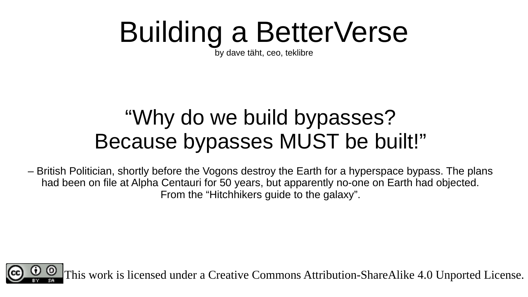#### Building a BetterVerse

by dave täht, ceo, teklibre

#### "Why do we build bypasses? Because bypasses MUST be built!"

– British Politician, shortly before the Vogons destroy the Earth for a hyperspace bypass. The plans had been on file at Alpha Centauri for 50 years, but apparently no-one on Earth had objected. From the "Hitchhikers guide to the galaxy".

This work is licensed under a Creative Commons Attribution-ShareAlike 4.0 Unported License.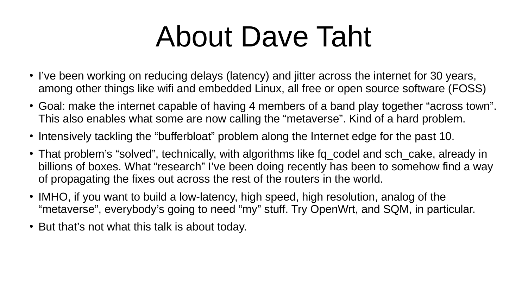#### About Dave Taht

- I've been working on reducing delays (latency) and jitter across the internet for 30 years, among other things like wifi and embedded Linux, all free or open source software (FOSS)
- Goal: make the internet capable of having 4 members of a band play together "across town". This also enables what some are now calling the "metaverse". Kind of a hard problem.
- Intensively tackling the "bufferbloat" problem along the Internet edge for the past 10.
- That problem's "solved", technically, with algorithms like fq codel and sch cake, already in billions of boxes. What "research" I've been doing recently has been to somehow find a way of propagating the fixes out across the rest of the routers in the world.
- IMHO, if you want to build a low-latency, high speed, high resolution, analog of the "metaverse", everybody's going to need "my" stuff. Try OpenWrt, and SQM, in particular.
- But that's not what this talk is about today.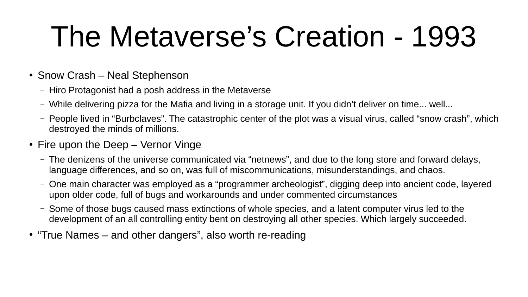#### The Metaverse's Creation - 1993

- $\cdot$  Snow Crash Neal Stephenson
	- Hiro Protagonist had a posh address in the Metaverse
	- While delivering pizza for the Mafia and living in a storage unit. If you didn't deliver on time... well...
	- People lived in "Burbclaves". The catastrophic center of the plot was a visual virus, called "snow crash", which destroyed the minds of millions.
- $\cdot$  Fire upon the Deep Vernor Vinge
	- The denizens of the universe communicated via "netnews", and due to the long store and forward delays, language differences, and so on, was full of miscommunications, misunderstandings, and chaos.
	- One main character was employed as a "programmer archeologist", digging deep into ancient code, layered upon older code, full of bugs and workarounds and under commented circumstances
	- Some of those bugs caused mass extinctions of whole species, and a latent computer virus led to the development of an all controlling entity bent on destroying all other species. Which largely succeeded.
- "True Names and other dangers", also worth re-reading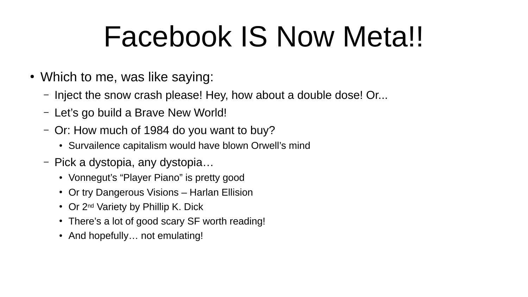#### Facebook IS Now Meta!!

- Which to me, was like saying:
	- Inject the snow crash please! Hey, how about a double dose! Or...
	- Let's go build a Brave New World!
	- Or: How much of 1984 do you want to buy?
		- Survailence capitalism would have blown Orwell's mind
	- Pick a dystopia, any dystopia…
		- Vonnegut's "Player Piano" is pretty good
		- Or try Dangerous Visions Harlan Ellision
		- Or 2<sup>nd</sup> Variety by Phillip K. Dick
		- There's a lot of good scary SF worth reading!
		- And hopefully... not emulating!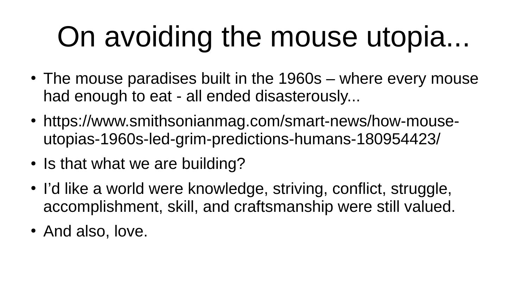# On avoiding the mouse utopia...

- $\cdot$  The mouse paradises built in the 1960s where every mouse had enough to eat - all ended disasterously...
- https://www.smithsonianmag.com/smart-news/how-mouseutopias-1960s-led-grim-predictions-humans-180954423/
- Is that what we are building?
- I'd like a world were knowledge, striving, conflict, struggle, accomplishment, skill, and craftsmanship were still valued.
- And also, love.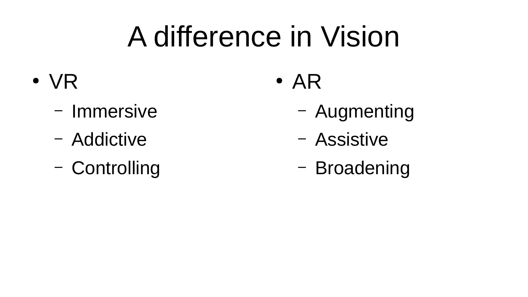#### A difference in Vision

- VR
	- Immersive
	- Addictive
	- Controlling
- $\bullet$  AR
	- Augmenting
	- Assistive
	- Broadening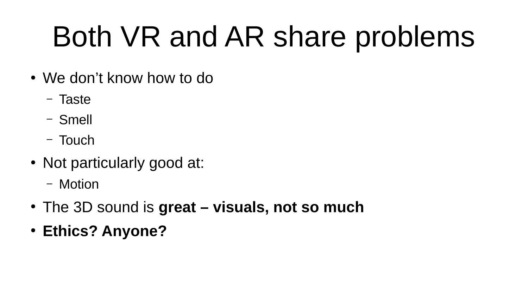## Both VR and AR share problems

- We don't know how to do
	- Taste
	- Smell
	- Touch
- Not particularly good at:
	- Motion
- The 3D sound is **great visuals, not so much**
- **Ethics? Anyone?**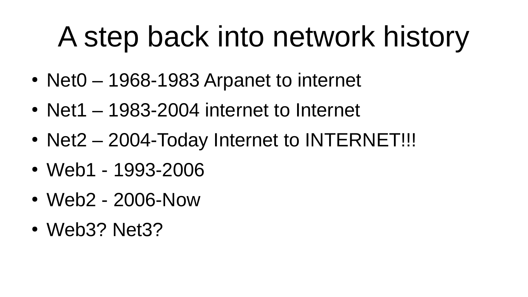### A step back into network history

- Net $0 1968 1983$  Arpanet to internet
- Net $1 1983 2004$  internet to Internet
- Net2 2004-Today Internet to INTERNET!!!
- Web1 1993-2006
- Web2 2006-Now
- Web3? Net3?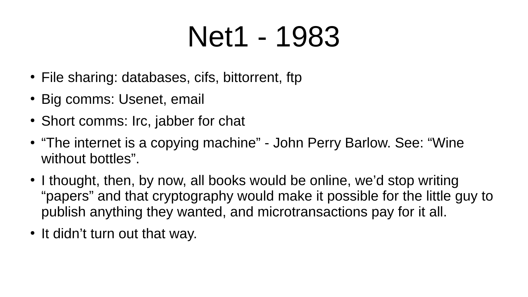#### Net1 - 1983

- File sharing: databases, cifs, bittorrent, ftp
- Big comms: Usenet, email
- Short comms: Irc, jabber for chat
- "The internet is a copying machine" John Perry Barlow. See: "Wine without bottles".
- I thought, then, by now, all books would be online, we'd stop writing "papers" and that cryptography would make it possible for the little guy to publish anything they wanted, and microtransactions pay for it all.
- It didn't turn out that way.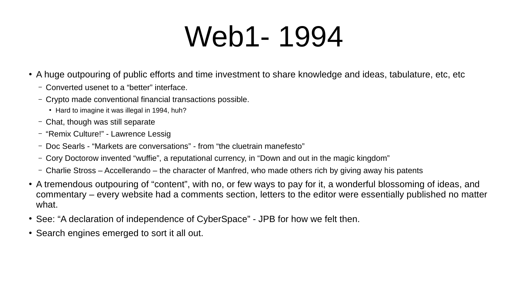#### Web1- 1994

- A huge outpouring of public efforts and time investment to share knowledge and ideas, tabulature, etc, etc
	- Converted usenet to a "better" interface.
	- Crypto made conventional financial transactions possible.
		- Hard to imagine it was illegal in 1994, huh?
	- Chat, though was still separate
	- "Remix Culture!" Lawrence Lessig
	- Doc Searls "Markets are conversations" from "the cluetrain manefesto"
	- Cory Doctorow invented "wuffie", a reputational currency, in "Down and out in the magic kingdom"
	- Charlie Stross Accellerando the character of Manfred, who made others rich by giving away his patents
- A tremendous outpouring of "content", with no, or few ways to pay for it, a wonderful blossoming of ideas, and commentary – every website had a comments section, letters to the editor were essentially published no matter what.
- See: "A declaration of independence of CyberSpace" JPB for how we felt then.
- Search engines emerged to sort it all out.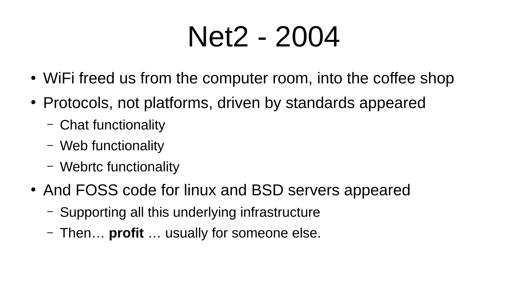#### Net2 - 2004

- WiFi freed us from the computer room, into the coffee shop
- Protocols, not platforms, driven by standards appeared
	- Chat functionality
	- Web functionality
	- Webrtc functionality
- And FOSS code for linux and BSD servers appeared
	- Supporting all this underlying infrastructure
	- Then… **profit** … usually for someone else.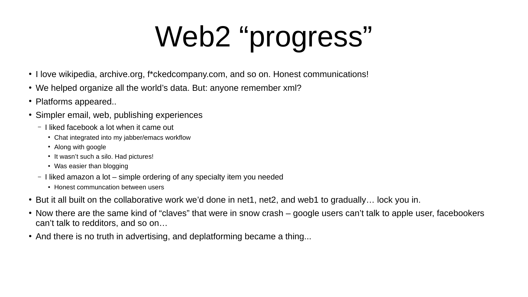# Web2 "progress"

- I love wikipedia, archive.org, f\*ckedcompany.com, and so on. Honest communications!
- We helped organize all the world's data. But: anyone remember xml?
- Platforms appeared...
- Simpler email, web, publishing experiences
	- I liked facebook a lot when it came out
		- Chat integrated into my jabber/emacs workflow
		- Along with google
		- It wasn't such a silo. Had pictures!
		- Was easier than blogging
	- I liked amazon a lot simple ordering of any specialty item you needed
		- Honest communcation between users
- But it all built on the collaborative work we'd done in net1, net2, and web1 to gradually... lock you in.
- Now there are the same kind of "claves" that were in snow crash google users can't talk to apple user, facebookers can't talk to redditors, and so on…
- And there is no truth in advertising, and deplatforming became a thing...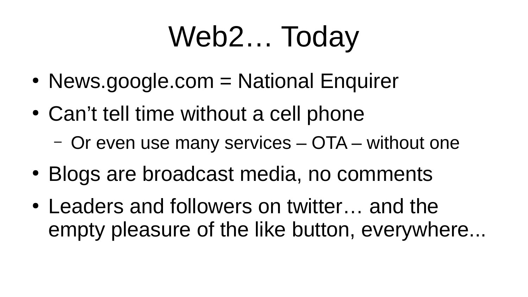#### Web2… Today

- News.google.com = National Enquirer
- Can't tell time without a cell phone
	- Or even use many services OTA without one
- Blogs are broadcast media, no comments
- Leaders and followers on twitter... and the empty pleasure of the like button, everywhere...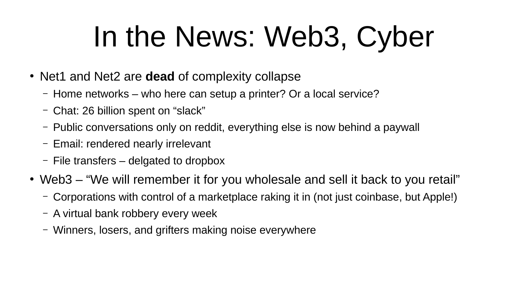### In the News: Web3, Cyber

- Net1 and Net2 are **dead** of complexity collapse
	- Home networks who here can setup a printer? Or a local service?
	- Chat: 26 billion spent on "slack"
	- Public conversations only on reddit, everything else is now behind a paywall
	- Email: rendered nearly irrelevant
	- File transfers delgated to dropbox
- Web3 "We will remember it for you wholesale and sell it back to you retail"
	- Corporations with control of a marketplace raking it in (not just coinbase, but Apple!)
	- A virtual bank robbery every week
	- Winners, losers, and grifters making noise everywhere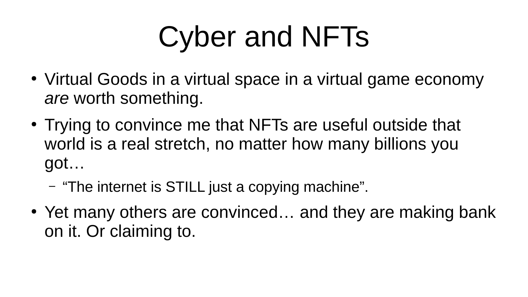## Cyber and NFTs

- Virtual Goods in a virtual space in a virtual game economy *are* worth something.
- Trying to convince me that NFTs are useful outside that world is a real stretch, no matter how many billions you got…
	- "The internet is STILL just a copying machine".
- Yet many others are convinced... and they are making bank on it. Or claiming to.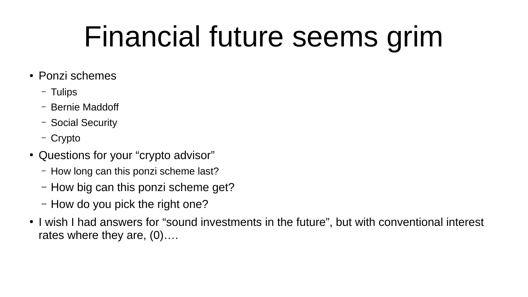#### Financial future seems grim

- Ponzi schemes
	- Tulips
	- Bernie Maddoff
	- Social Security
	- Crypto
- Questions for your "crypto advisor"
	- How long can this ponzi scheme last?
	- How big can this ponzi scheme get?
	- How do you pick the right one?
- I wish I had answers for "sound investments in the future", but with conventional interest rates where they are, (0)….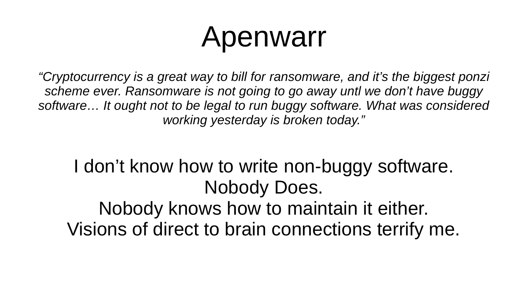#### Apenwarr

*"Cryptocurrency is a great way to bill for ransomware, and it's the biggest ponzi scheme ever. Ransomware is not going to go away untl we don't have buggy software… It ought not to be legal to run buggy software. What was considered working yesterday is broken today."*

#### I don't know how to write non-buggy software. Nobody Does. Nobody knows how to maintain it either. Visions of direct to brain connections terrify me.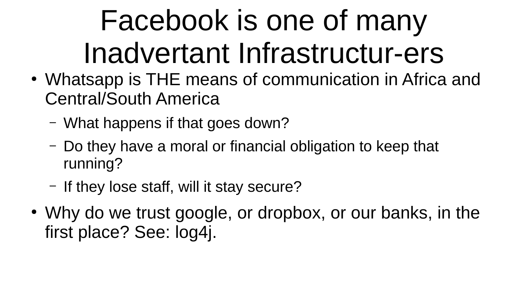## Facebook is one of many Inadvertant Infrastructur-ers

- Whatsapp is THE means of communication in Africa and Central/South America
	- What happens if that goes down?
	- Do they have a moral or financial obligation to keep that running?
	- If they lose staff, will it stay secure?
- Why do we trust google, or dropbox, or our banks, in the first place? See: log4j.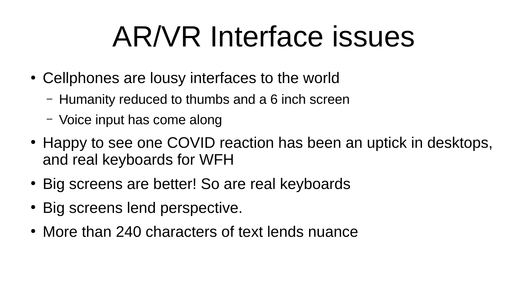#### AR/VR Interface issues

- Cellphones are lousy interfaces to the world
	- Humanity reduced to thumbs and a 6 inch screen
	- Voice input has come along
- Happy to see one COVID reaction has been an uptick in desktops, and real keyboards for WFH
- Big screens are better! So are real keyboards
- Big screens lend perspective.
- More than 240 characters of text lends nuance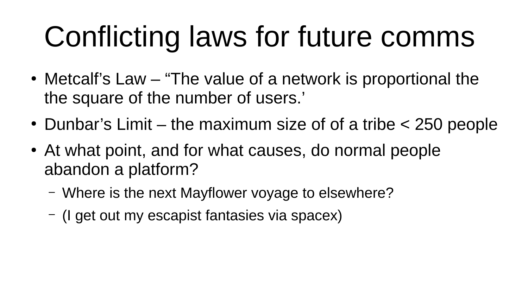## Conflicting laws for future comms

- Metcalf's Law "The value of a network is proportional the the square of the number of users.'
- Dunbar's Limit the maximum size of of a tribe  $\leq$  250 people
- At what point, and for what causes, do normal people abandon a platform?
	- Where is the next Mayflower voyage to elsewhere?
	- (I get out my escapist fantasies via spacex)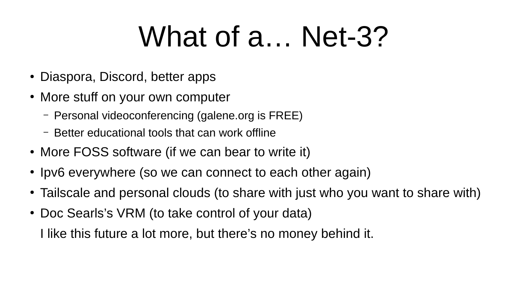#### What of a... Net-3?

- Diaspora, Discord, better apps
- More stuff on your own computer
	- Personal videoconferencing (galene.org is FREE)
	- Better educational tools that can work offline
- More FOSS software (if we can bear to write it)
- Ipv6 everywhere (so we can connect to each other again)
- Tailscale and personal clouds (to share with just who you want to share with)
- Doc Searls's VRM (to take control of your data)

I like this future a lot more, but there's no money behind it.